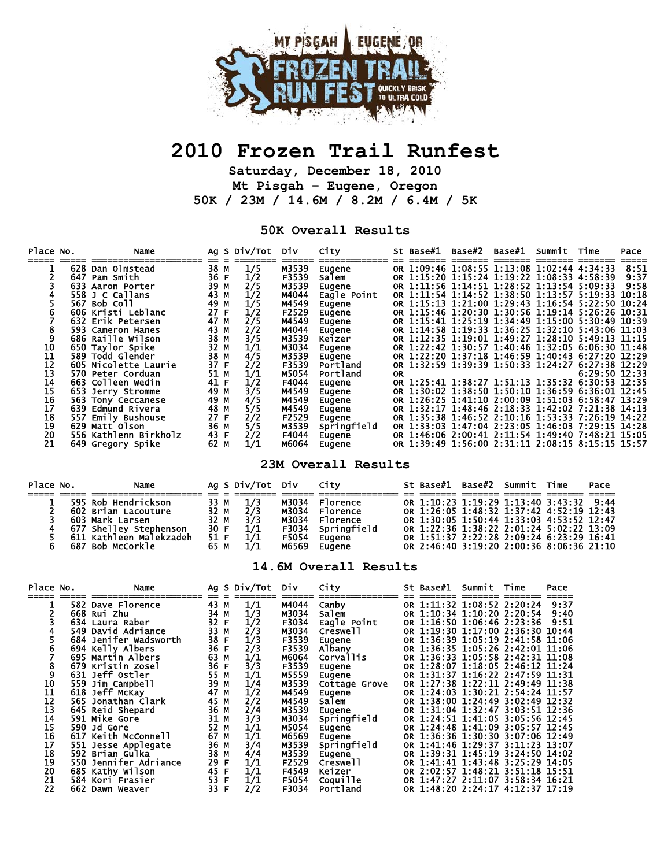

# **2010 Frozen Trail Runfest**

**Saturday, December 18, 2010 Mt Pisgah – Eugene, Oregon 50K / 23M / 14.6M / 8.2M / 6.4M / 5K** 

#### **50K Overall Results**

| Place No.       |     | Name                  |      | Ag S Div/Tot | Div   | City        |           | St Base#1 | Base#2                                           | Base#1 | Summit | Time            | Pace |
|-----------------|-----|-----------------------|------|--------------|-------|-------------|-----------|-----------|--------------------------------------------------|--------|--------|-----------------|------|
|                 | 628 | Dan Olmstead          | 38 M | 1/5          | M3539 | Eugene      |           |           | OR 1:09:46 1:08:55 1:13:08 1:02:44 4:34:33       |        |        |                 | 8:51 |
|                 |     | 647 Pam Smith         | 36 F | 1/2          | F3539 | Salem       |           |           | OR 1:15:20 1:15:24 1:19:22 1:08:33 4:58:39       |        |        |                 | 9:37 |
|                 |     | 633 Aaron Porter      | 39 M | 2/5          | M3539 | Eugene      |           |           | OR 1:11:56 1:14:51 1:28:52 1:13:54 5:09:33       |        |        |                 | 9:58 |
|                 |     | 558 J C Callans       | 43 M | 1/2          | M4044 | Eagle Point |           |           | OR 1:11:54 1:14:52 1:38:50 1:13:57 5:19:33 10:18 |        |        |                 |      |
|                 |     | 567 Bob Coll          | 49 M | 1/5          | M4549 | Eugene      |           |           | OR 1:15:13 1:21:00 1:29:43 1:16:54 5:22:50 10:24 |        |        |                 |      |
|                 |     | 606 Kristi Leblanc    | 27 F | 1/2          | F2529 | Eugene      |           |           | OR 1:15:46 1:20:30 1:30:56 1:19:14 5:26:26 10:31 |        |        |                 |      |
|                 |     | 632 Erik Petersen     | 47 M | 2/5          | M4549 | Eugene      |           |           | OR 1:15:41 1:25:19 1:34:49 1:15:00 5:30:49 10:39 |        |        |                 |      |
|                 |     | 593 Cameron Hanes     | 43 M | 2/2          | M4044 | Eugene      |           |           | OR 1:14:58 1:19:33 1:36:25 1:32:10 5:43:06 11:03 |        |        |                 |      |
|                 |     | 686 Raille Wilson     | 38 M | 3/5          | M3539 | Keizer      |           |           | OR 1:12:35 1:19:01 1:49:27 1:28:10 5:49:13 11:15 |        |        |                 |      |
| 10              |     | 650 Taylor Spike      | 32 M | 1/1          | M3034 | Eugene      |           |           | OR 1:22:42 1:30:57 1:40:46 1:32:05 6:06:30 11:48 |        |        |                 |      |
| 11              |     | 589 Todd Glender      | 38 M | 4/5          | M3539 | Eugene      |           |           | OR 1:22:20 1:37:18 1:46:59 1:40:43 6:27:20 12:29 |        |        |                 |      |
| 12              |     | 605 Nicolette Laurie  | 37 F | 2/2          | F3539 | Portland    |           |           | OR 1:32:59 1:39:39 1:50:33 1:24:27 6:27:38 12:29 |        |        |                 |      |
| 13              |     | 570 Peter Corduan     | 51 M | 1/1          | M5054 | Portland    | <b>OR</b> |           |                                                  |        |        | $6:29:50$ 12:33 |      |
| 14              |     | 663 Colleen Wedin     | 41 F | 1/2          | F4044 | Eugene      |           |           | OR 1:25:41 1:38:27 1:51:13 1:35:32 6:30:53 12:35 |        |        |                 |      |
| 15              |     | 653 Jerry Stromme     | 49 M | 3/5          | M4549 | Eugene      |           |           | OR 1:30:02 1:38:50 1:50:10 1:36:59 6:36:01 12:45 |        |        |                 |      |
| $\frac{16}{17}$ |     | 563 Tony Ceccanese    | 49 M | 4/5          | M4549 | Eugene      |           |           | OR 1:26:25 1:41:10 2:00:09 1:51:03 6:58:47 13:29 |        |        |                 |      |
|                 |     | 639 Edmund Rivera     | 48 M | 5/5          | M4549 | Eugene      |           |           | OR 1:32:17 1:48:46 2:18:33 1:42:02 7:21:38 14:13 |        |        |                 |      |
| 18<br>19        | 557 | Emily Bushouse        | 27 F | 2/2          | F2529 | Eugene      |           |           | OR 1:35:38 1:46:52 2:10:16 1:53:33 7:26:19 14:22 |        |        |                 |      |
|                 |     | 629 Matt Olson        | 36 M | 5/5          | M3539 | Springfield |           |           | OR 1:33:03 1:47:04 2:23:05 1:46:03 7:29:15 14:28 |        |        |                 |      |
| $\overline{20}$ |     | 556 Kathlenn Birkholz | 43 F | 2/2          | F4044 | Eugene      |           |           | OR 1:46:06 2:00:41 2:11:54 1:49:40 7:48:21 15:05 |        |        |                 |      |
| 21              |     | 649 Gregory Spike     | 62 M | 1/1          | M6064 | Eugene      |           |           | OR 1:39:49 1:56:00 2:31:11 2:08:15 8:15:15 15:57 |        |        |                 |      |

#### **23M Overall Results**

| Place No. | Name                    |      | Ag S Div/Tot Div            |       | City              |  | St Base#1 Base#2 Summit Time             |  | Pace |
|-----------|-------------------------|------|-----------------------------|-------|-------------------|--|------------------------------------------|--|------|
|           |                         |      |                             |       |                   |  |                                          |  |      |
|           | 595 Rob Hendrickson     | 33 M | $\frac{1/3}{2/3}$           |       | M3034 Florence    |  | OR 1:10:23 1:19:29 1:13:40 3:43:32 9:44  |  |      |
|           | 602 Brian Lacouture     | 32 M |                             |       | M3034 Florence    |  | OR 1:26:05 1:48:32 1:37:42 4:52:19 12:43 |  |      |
|           | 603 Mark Larsen         | 32 M | 3/3                         |       | M3034 Florence    |  | OR 1:30:05 1:50:44 1:33:03 4:53:52 12:47 |  |      |
|           | 677 Shelley Stephenson  | 30 F | 1/1                         |       | F3034 Springfield |  | OR 1:22:36 1:38:22 2:01:24 5:02:22 13:09 |  |      |
|           | 611 Kathleen Malekzadeh | 51 F | $\overline{1}/\overline{1}$ | F5054 | Eugene            |  | OR 1:51:37 2:22:28 2:09:24 6:23:29 16:41 |  |      |
|           | 687 Bob McCorkle        | 65 M | 1/1                         | м6569 | Eugene            |  | OR 2:46:40 3:19:20 2:00:36 8:06:36 21:10 |  |      |

#### **14.6M Overall Results**

| Place No.            | Name                  |      |              | Ag S Div/Tot  | Div.  | City             | St Base#1 | Summit                           | Time | Pace |
|----------------------|-----------------------|------|--------------|---------------|-------|------------------|-----------|----------------------------------|------|------|
|                      |                       |      |              |               |       |                  |           |                                  |      |      |
|                      | 582 Dave Florence     | 43 M |              | 1/1           | M4044 | Canby            |           | OR 1:11:32 1:08:52 2:20:24       |      | 9:37 |
|                      | 668 Rui Zhu           | 34 M |              | 1/3           | M3034 | salem            |           | OR 1:10:34 1:10:20 2:20:54       |      | 9:40 |
|                      | 634 Laura Raber       | 32 F |              | 1/2           | F3034 | Eagle Point      |           | OR 1:16:50 1:06:46 2:23:36       |      | 9:51 |
|                      | 549 David Adriance    | 33 M |              |               | M3034 | Creswell         |           | OR 1:19:30 1:17:00 2:36:30 10:44 |      |      |
|                      | 684 Jenifer Wadsworth | 38 F |              | $\frac{2}{3}$ | F3539 | Eugene           |           | OR 1:36:39 1:05:19 2:41:58 11:06 |      |      |
| 6                    | 694 Kelly Albers      | 36 F |              | 2/3           | F3539 | Albany           |           | OR 1:36:35 1:05:26 2:42:01 11:06 |      |      |
|                      | 695 Martin Albers     | 63 M |              | 1/1           | M6064 | <b>Corvallis</b> |           | OR 1:36:33 1:05:58 2:42:31 11:08 |      |      |
| 8                    | 679 Kristin Zosel     | 36 F |              | 3/3           | F3539 | Eugene           |           | OR 1:28:07 1:18:05 2:46:12 11:24 |      |      |
| 9                    | 631 Jeff Ostler       | 55 M |              | 1/1           | M5559 | Eugene           |           | OR 1:31:37 1:16:22 2:47:59 11:31 |      |      |
| $\frac{10}{11}$      | 559 Jim Campbell      | 39 M |              | 1/4           | M3539 | Cottage Grove    |           | OR 1:27:38 1:22:11 2:49:49 11:38 |      |      |
|                      | 618 Jeff McKay        | 47 M |              | 1/2           | M4549 | Eugene           |           | OR 1:24:03 1:30:21 2:54:24 11:57 |      |      |
|                      | 565 Jonathan Clark    | 45 M |              | 2/2           | M4549 | Salem            |           | OR 1:38:00 1:24:49 3:02:49 12:32 |      |      |
| 13<br>14<br>15<br>16 | 645 Reid Shepard      | 36 M |              | 2/4           | M3539 | Eugene           |           | OR 1:31:04 1:32:47 3:03:51 12:36 |      |      |
|                      | 591 Mike Gore         | 31 M |              | 3/3           | M3034 | Springfield      |           | OR 1:24:51 1:41:05 3:05:56 12:45 |      |      |
|                      | 590 Jd Gore           | 52 M |              | 1/1           | M5054 | Eugene           |           | OR 1:24:48 1:41:09 3:05:57 12:45 |      |      |
|                      | 617 Keith McConnell   | 67 M |              | 1/1           | M6569 | Eugene           |           | OR 1:36:36 1:30:30 3:07:06 12:49 |      |      |
| $\overline{17}$      | 551 Jesse Applegate   | 36 M |              | 3/4           | M3539 | Springfield      |           | OR 1:41:46 1:29:37 3:11:23 13:07 |      |      |
|                      | 592 Brian Gulka       | 38 M |              | 4/4           | M3539 | Eugene           |           | OR 1:39:31 1:45:19 3:24:50 14:02 |      |      |
|                      | 550 Jennifer Adriance | 29 F |              | 1/1           | F2529 | Creswell         |           | OR 1:41:41 1:43:48 3:25:29 14:05 |      |      |
| 18<br>19<br>20<br>21 | 685 Kathy Wilson      | 45 F |              | 1/1           | F4549 | Keizer           |           | OR 2:02:57 1:48:21 3:51:18 15:51 |      |      |
|                      | 584 Kori Frasier      | 53   | $\mathsf{F}$ | 1/1           | F5054 | Coquille         |           | OR 1:47:27 2:11:07 3:58:34 16:21 |      |      |
| 22                   | 662 Dawn Weaver       | 33 F |              | 2/2           | F3034 | Portland         |           | OR 1:48:20 2:24:17 4:12:37 17:19 |      |      |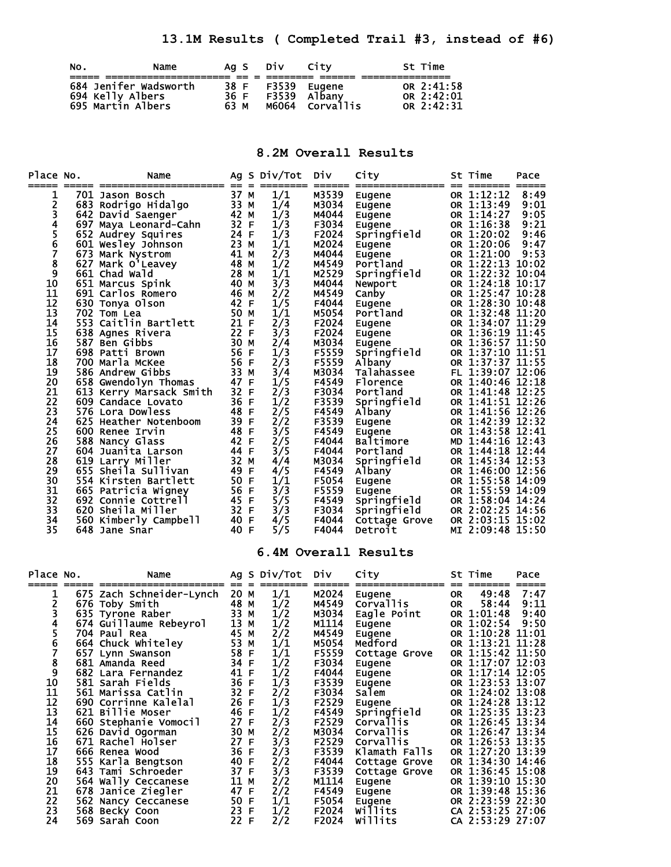**13.1M Results ( Completed Trail #3, instead of #6)** 

| NO. | Name                                                           |                      | Ag S DIV       | City                                | St Time                                    |
|-----|----------------------------------------------------------------|----------------------|----------------|-------------------------------------|--------------------------------------------|
|     | 684 Jenifer Wadsworth<br>694 Kelly Albers<br>695 Martin Albers | 38 F<br>36 F<br>63 M | F3539<br>F3539 | Eugene<br>Albany<br>M6064 Corvallis | OR 2:41:58<br>OR 2:42:01<br>$OR$ $2:42:31$ |

## **8.2M Overall Results**

| Place No.<br>===== | Name<br>=== ========<br>===========  ==          |              | Ag S Div/Tot  | Div            | City                            |                    | St Time                              | Pace         |
|--------------------|--------------------------------------------------|--------------|---------------|----------------|---------------------------------|--------------------|--------------------------------------|--------------|
| 1                  | 701 Jason Bosch                                  | 37 M         | 1/1           | M3539          | Eugene                          |                    | OR 1:12:12                           | 8:49         |
|                    | 683 Rodrigo Hidalgo                              | 33 M         | 1/4           | M3034          | Eugene                          |                    | OR 1:13:49                           | 9:01         |
| 2<br>3<br>4        | 642 David Saenger                                | 42 M         | 1/3           | M4044          | Eugene                          |                    | OR 1:14:27                           | 9:05         |
|                    | 697 Maya Leonard-Cahn 32 F                       |              | 1/3           | F3034          | <b>Eugene</b>                   |                    | OR 1:16:38                           | 9:21         |
| $\frac{5}{6}$      | 652 Audrey Squires                               | 24 F         | 1/3           | F2024          | Springfield                     |                    | OR 1:20:02                           | 9:46         |
| 7                  | 601 Wesley Johnson<br>673 Mark Nystrom           | 23 M<br>41 M | 1/1<br>2/3    | M2024<br>M4044 | Eugene<br>Eugene                |                    | OR 1:20:06<br>OR 1:21:00             | 9:47<br>9:53 |
| 8                  | 627 Mark O'Leavey                                | 48 M         | 1/2           | M4549          | Portland                        |                    | OR 1:22:13 10:02                     |              |
| 9                  | 661 Chad Wald                                    | 28 M         | 1/1           | M2529          | Springfield                     |                    | OR 1:22:32 10:04                     |              |
| 10                 | 651 Marcus Spink                                 | - 40 M       | 3/3           | M4044          | Newport                         |                    | OR 1:24:18 10:17                     |              |
| 11                 | 691 Carlos Romero                                | — 46 м       | 2/2           | M4549          | Canby                           |                    | OR 1:25:47 10:28                     |              |
| 12                 | 630 Tonya Olson                                  | 42 F         | 1/5           | F4044          | Eugene                          |                    | OR 1:28:30 10:48                     |              |
| 13                 | 702 Tom Lea                                      | 50 M         | 1/1           | M5054          | Portland                        |                    | OR 1:32:48 11:20                     |              |
| 14<br>15           | 553 Caitlin Bartlett<br>21 F<br>638 Agnes Rivera | 22 F         | 2/3<br>3/3    | F2024<br>F2024 | Eugene                          |                    | OR 1:34:07 11:29<br>OR 1:36:19 11:45 |              |
| 16                 | 587 Ben Gibbs                                    | 30 M         | 2/4           | M3034          | Eugene<br>Eugene                |                    | OR 1:36:57 11:50                     |              |
| 17                 | 698 Patti Brown                                  | 56 F         | 1/3           | F5559          | Springfield                     |                    | OR 1:37:10 11:51                     |              |
| 18                 | 700 Marla McKee                                  | 56 F         | 2/3           | F5559          | Albany                          |                    | OR 1:37:37 11:55                     |              |
| 19                 | 586 Andrew Gibbs                                 | 33 M         | 3/4           | M3034          | Talahassee                      |                    | FL 1:39:07 12:06                     |              |
| 20                 | 658 Gwendolyn Thomas 47 F                        |              | 1/5           | F4549          | Florence                        |                    | OR 1:40:46 12:18                     |              |
| 21                 | 613 Kerry Marsack Smith 32 F                     |              | 2/3           | F3034          | Portland                        |                    | OR 1:41:48 12:25                     |              |
| 22                 | 609 Candace Lovato                               | 36 F         | 1/2           | F3539          | Springfield                     |                    | OR 1:41:51 12:26                     |              |
| 23<br>24           | 576 Lora Dowless<br>625 Heather Notenboom        | 48 F<br>39 F | 2/5<br>2/2    | F4549<br>F3539 | Albany                          |                    | OR 1:41:56 12:26<br>OR 1:42:39 12:32 |              |
| 25                 | 600 Renee Irvin                                  | 48 F         | 3/5           | F4549          | Eugene<br>Eugene                |                    | OR 1:43:58 12:41                     |              |
| 26                 | 588 Nancy Glass                                  | 42 F         | 2/5           | F4044          | Baltimore                       |                    | MD 1:44:16 12:43                     |              |
| 27                 | 604 Juanita Larson                               | 44 F         | 3/5           | F4044          | Portland                        |                    | OR 1:44:18 12:44                     |              |
| 28                 | 619 Larry Miller                                 | 32 M         | 4/4           | M3034          | Springfield                     |                    | OR 1:45:34 12:53                     |              |
| 29                 | 655 Sheila Sullivan                              | 49 F         | 4/5           | F4549          | Albany                          |                    | OR 1:46:00 12:56                     |              |
| 30                 | 554 Kirsten Bartlett                             | 50 F         | 1/1           | F5054          | Eugene                          |                    | OR 1:55:58 14:09                     |              |
| 31                 | 665 Patricia Wigney                              | 56 F         | 3/3           | F5559          | Eugene                          |                    | OR 1:55:59 14:09                     |              |
| 32<br>33           | 692 Connie Cottrell<br>620 Sheila Miller         | 45 F<br>32 F | 5/5<br>3/3    | F4549<br>F3034 | Springfield<br>Springfield      |                    | OR 1:58:04 14:24<br>OR 2:02:25 14:56 |              |
| 34                 | 40 F<br>560 Kimberly Campbell                    |              | 4/5           | F4044          | Cottage Grove                   |                    | OR 2:03:15 15:02                     |              |
| 35                 | 648 Jane Snar                                    | 40 F         | 5/5           | F4044          | Detroit                         |                    | MI 2:09:48 15:50                     |              |
|                    |                                                  |              |               |                | 6.4M Overall Results            |                    |                                      |              |
| Place No.          | Name                                             |              | Ag S Div/Tot  | <b>DIV</b>     | City                            |                    | St Time                              | Pace         |
| 1                  | 675 Zach Schneider-Lynch 20 M                    |              | 1/1           | M2024          | ==============<br><b>Eugene</b> | -- --<br><b>OR</b> | 49:48                                | 7:47         |
| 2                  | 676 Toby Smith                                   | 48 M         | 1/2           | M4549          | Corvallis                       | <b>OR</b>          | 58:44                                | 9:11         |
| 3                  | 635 Tyrone Raber                                 | 33 M         | 1/2           | M3034          | Eagle Point                     |                    | OR 1:01:48                           | 9:40         |
| 4                  | 674 Guillaume Rebeyrol                           | 13 M         | 1/2           | M1114          | Eugene                          |                    | OR 1:02:54                           | 9:50         |
| 5                  | 704 Paul Rea                                     | 45 M         | 2/2           | M4549          | Eugene                          |                    | OR 1:10:28                           | 11:01        |
| 6                  | 664 Chuck Whiteley                               | 53 M         | 1/1           | M5054          | Medford                         |                    | OR 1:13:21                           | 11:28        |
| 7                  | 657 Lynn Swanson                                 | 58 F<br>34 F | 1/1           | F5559<br>F3034 | Cottage Grove                   |                    | OR 1:15:42 11:50<br>OR 1:17:07 12:03 |              |
| 8<br>9             | 681 Amanda Reed<br>682 Lara Fernandez            | 41 F         | 1/2           | F4044          | <b>Eugene</b><br>Eugene         |                    | OR 1:17:14 12:05                     |              |
| 10                 | 581 Sarah Fields                                 | 36 F         | $\frac{1}{2}$ | F3539          | Eugene                          |                    | OR 1:23:53 13:07                     |              |
| 11                 | 561 Marissa Catlin                               | 32 F         | 2/2           | F3034          | Salem                           |                    | OR 1:24:02 13:08                     |              |
| 12                 | 690 Corrinne Kalelal                             | 26 F         | 1/3           | F2529          | Eugene                          |                    | OR 1:24:28 13:12                     |              |
| 13                 | 621 Billie Moser                                 | 46 F         | 1/2           | F4549          | Springfield                     |                    | OR 1:25:35 13:23                     |              |
| 14                 | 660 Stephanie Vomocil                            | 27 F         | 2/3           | F2529          | Corvallis                       |                    | OR 1:26:45 13:34                     |              |
| 15                 | 626 David Ogorman                                | 30 M         | 2/2           | M3034          | <b>Corvallis</b>                |                    | OR 1:26:47 13:34                     |              |
| 16<br>17           | 671 Rachel Holser                                | 27 F<br>36 F | 3/3           | F2529<br>F3539 | <b>Corvallis</b>                |                    | OR 1:26:53 13:35<br>OR 1:27:20 13:39 |              |
| 18                 | 666 Renea Wood<br>555 Karla Bengtson             | 40 F         | 2/3<br>2/2    | F4044          | Klamath Falls<br>Cottage Grove  |                    | OR 1:34:30 14:46                     |              |
| 19                 | 643 Tami Schroeder                               | 37 F         | 3/3           | F3539          | Cottage Grove                   |                    | OR 1:36:45 15:08                     |              |
| 20                 | 564 Wally Ceccanese                              | 11 M         | 2/2           | M1114          | Eugene                          |                    | OR 1:39:10 15:30                     |              |
| 21                 | 678 Janice Ziegler                               | 47 F         | 2/2           | F4549          | Eugene                          |                    | OR 1:39:48 15:36                     |              |
| 22                 | 562 Nancy Ceccanese                              | 50 F         | 1/1           | F5054          | Eugene                          |                    | OR 2:23:59 22:30                     |              |
| 23                 | 568 Becky Coon                                   | 23 F         | 1/2           | F2024          | willits                         |                    | CA 2:53:25 27:06                     |              |
| 24                 | 569 Sarah Coon                                   | 22 F         | 2/2           | F2024          | Willits                         |                    | CA 2:53:29 27:07                     |              |